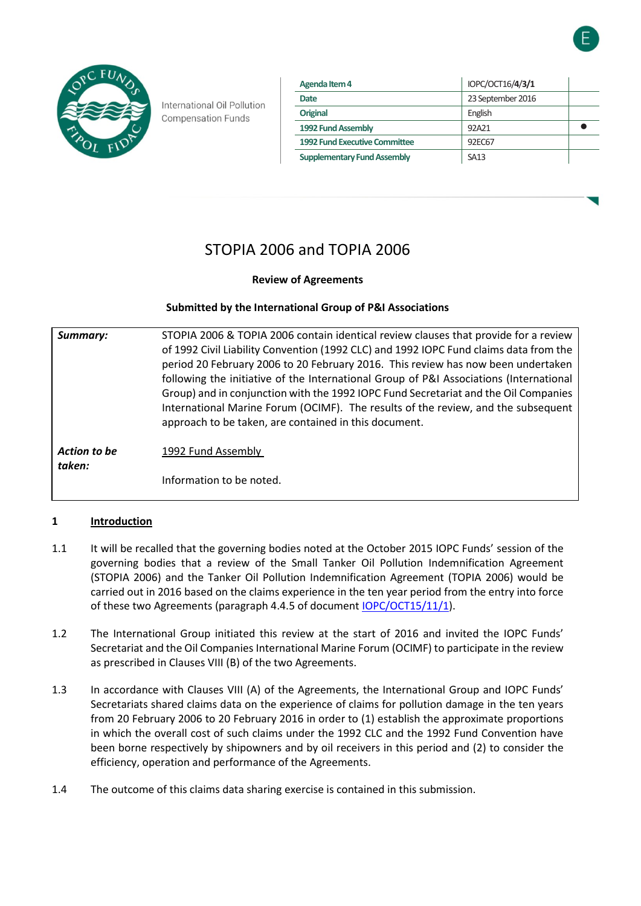

International Oil Pollution **Compensation Funds** 

| Agenda Item 4                        | IOPC/OCT16/4/3/1  |  |
|--------------------------------------|-------------------|--|
| Date                                 | 23 September 2016 |  |
| <b>Original</b>                      | English           |  |
| 1992 Fund Assembly                   | 92A21             |  |
| <b>1992 Fund Executive Committee</b> | 92EC67            |  |
| <b>Supplementary Fund Assembly</b>   | <b>SA13</b>       |  |

# STOPIA 2006 and TOPIA 2006

## **Review of Agreements**

## **Submitted by the International Group of P&I Associations**

| Summary:               | STOPIA 2006 & TOPIA 2006 contain identical review clauses that provide for a review<br>of 1992 Civil Liability Convention (1992 CLC) and 1992 IOPC Fund claims data from the<br>period 20 February 2006 to 20 February 2016. This review has now been undertaken<br>following the initiative of the International Group of P&I Associations (International<br>Group) and in conjunction with the 1992 IOPC Fund Secretariat and the Oil Companies<br>International Marine Forum (OCIMF). The results of the review, and the subsequent<br>approach to be taken, are contained in this document. |
|------------------------|-------------------------------------------------------------------------------------------------------------------------------------------------------------------------------------------------------------------------------------------------------------------------------------------------------------------------------------------------------------------------------------------------------------------------------------------------------------------------------------------------------------------------------------------------------------------------------------------------|
| Action to be<br>taken: | 1992 Fund Assembly                                                                                                                                                                                                                                                                                                                                                                                                                                                                                                                                                                              |
|                        | Information to be noted.                                                                                                                                                                                                                                                                                                                                                                                                                                                                                                                                                                        |

#### **1 Introduction**

- 1.1 It will be recalled that the governing bodies noted at the October 2015 IOPC Funds' session of the governing bodies that a review of the Small Tanker Oil Pollution Indemnification Agreement (STOPIA 2006) and the Tanker Oil Pollution Indemnification Agreement (TOPIA 2006) would be carried out in 2016 based on the claims experience in the ten year period from the entry into force of these two Agreements (paragraph 4.4.5 of document [IOPC/OCT15/11/1\)](http://documentservices.iopcfunds.org/meeting-documents/download/docs/4006/lang/en/).
- 1.2 The International Group initiated this review at the start of 2016 and invited the IOPC Funds' Secretariat and the Oil Companies International Marine Forum (OCIMF) to participate in the review as prescribed in Clauses VIII (B) of the two Agreements.
- 1.3 In accordance with Clauses VIII (A) of the Agreements, the International Group and IOPC Funds' Secretariats shared claims data on the experience of claims for pollution damage in the ten years from 20 February 2006 to 20 February 2016 in order to (1) establish the approximate proportions in which the overall cost of such claims under the 1992 CLC and the 1992 Fund Convention have been borne respectively by shipowners and by oil receivers in this period and (2) to consider the efficiency, operation and performance of the Agreements.
- 1.4 The outcome of this claims data sharing exercise is contained in this submission.

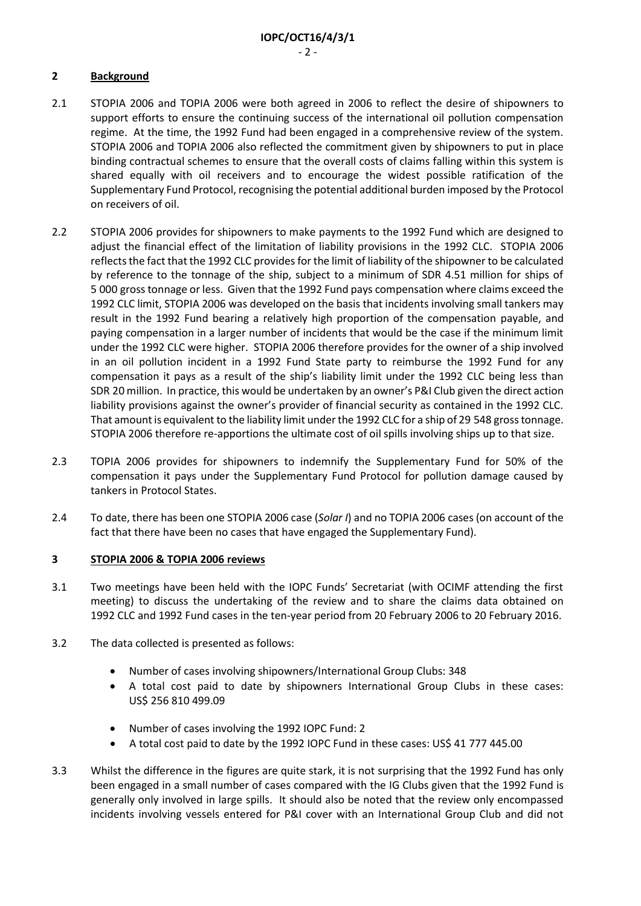## **2 Background**

- 2.1 STOPIA 2006 and TOPIA 2006 were both agreed in 2006 to reflect the desire of shipowners to support efforts to ensure the continuing success of the international oil pollution compensation regime. At the time, the 1992 Fund had been engaged in a comprehensive review of the system. STOPIA 2006 and TOPIA 2006 also reflected the commitment given by shipowners to put in place binding contractual schemes to ensure that the overall costs of claims falling within this system is shared equally with oil receivers and to encourage the widest possible ratification of the Supplementary Fund Protocol, recognising the potential additional burden imposed by the Protocol on receivers of oil.
- 2.2 STOPIA 2006 provides for shipowners to make payments to the 1992 Fund which are designed to adjust the financial effect of the limitation of liability provisions in the 1992 CLC. STOPIA 2006 reflects the fact that the 1992 CLC provides for the limit of liability of the shipowner to be calculated by reference to the tonnage of the ship, subject to a minimum of SDR 4.51 million for ships of 5 000 gross tonnage or less. Given that the 1992 Fund pays compensation where claims exceed the 1992 CLC limit, STOPIA 2006 was developed on the basis that incidents involving small tankers may result in the 1992 Fund bearing a relatively high proportion of the compensation payable, and paying compensation in a larger number of incidents that would be the case if the minimum limit under the 1992 CLC were higher. STOPIA 2006 therefore provides for the owner of a ship involved in an oil pollution incident in a 1992 Fund State party to reimburse the 1992 Fund for any compensation it pays as a result of the ship's liability limit under the 1992 CLC being less than SDR 20 million. In practice, this would be undertaken by an owner's P&I Club given the direct action liability provisions against the owner's provider of financial security as contained in the 1992 CLC. That amount is equivalent to the liability limit under the 1992 CLC for a ship of 29 548 gross tonnage. STOPIA 2006 therefore re-apportions the ultimate cost of oil spills involving ships up to that size.
- 2.3 TOPIA 2006 provides for shipowners to indemnify the Supplementary Fund for 50% of the compensation it pays under the Supplementary Fund Protocol for pollution damage caused by tankers in Protocol States.
- 2.4 To date, there has been one STOPIA 2006 case (*Solar I*) and no TOPIA 2006 cases (on account of the fact that there have been no cases that have engaged the Supplementary Fund).

#### **3 STOPIA 2006 & TOPIA 2006 reviews**

- 3.1 Two meetings have been held with the IOPC Funds' Secretariat (with OCIMF attending the first meeting) to discuss the undertaking of the review and to share the claims data obtained on 1992 CLC and 1992 Fund cases in the ten-year period from 20 February 2006 to 20 February 2016.
- 3.2 The data collected is presented as follows:
	- Number of cases involving shipowners/International Group Clubs: 348
	- A total cost paid to date by shipowners International Group Clubs in these cases: US\$ 256 810 499.09
	- Number of cases involving the 1992 IOPC Fund: 2
	- A total cost paid to date by the 1992 IOPC Fund in these cases: US\$ 41 777 445.00
- 3.3 Whilst the difference in the figures are quite stark, it is not surprising that the 1992 Fund has only been engaged in a small number of cases compared with the IG Clubs given that the 1992 Fund is generally only involved in large spills. It should also be noted that the review only encompassed incidents involving vessels entered for P&I cover with an International Group Club and did not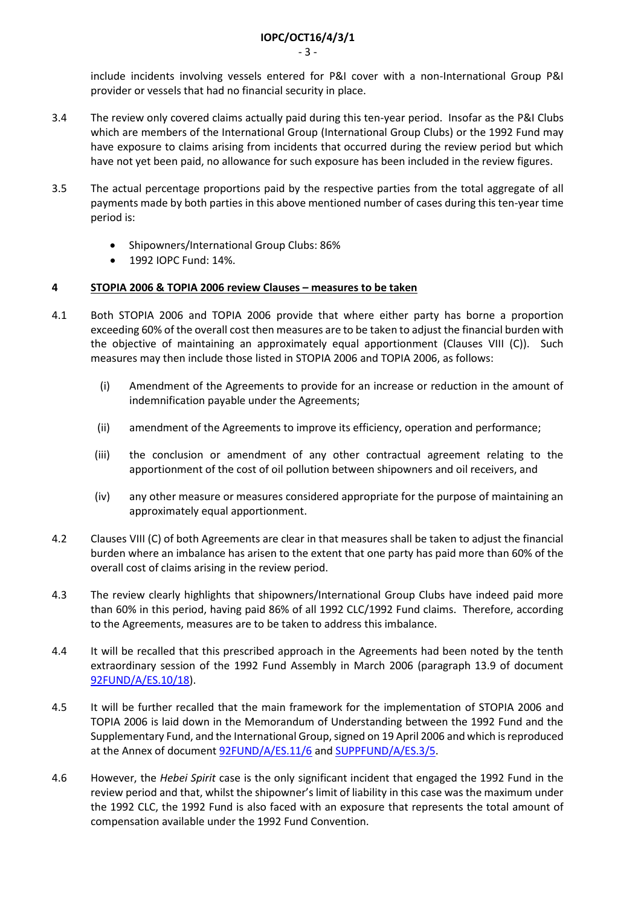include incidents involving vessels entered for P&I cover with a non-International Group P&I provider or vessels that had no financial security in place.

- 3.4 The review only covered claims actually paid during this ten-year period. Insofar as the P&I Clubs which are members of the International Group (International Group Clubs) or the 1992 Fund may have exposure to claims arising from incidents that occurred during the review period but which have not yet been paid, no allowance for such exposure has been included in the review figures.
- 3.5 The actual percentage proportions paid by the respective parties from the total aggregate of all payments made by both parties in this above mentioned number of cases during this ten-year time period is:
	- Shipowners/International Group Clubs: 86%
	- 1992 IOPC Fund: 14%.

## **4 STOPIA 2006 & TOPIA 2006 review Clauses – measures to be taken**

- 4.1 Both STOPIA 2006 and TOPIA 2006 provide that where either party has borne a proportion exceeding 60% of the overall cost then measures are to be taken to adjust the financial burden with the objective of maintaining an approximately equal apportionment (Clauses VIII (C)). Such measures may then include those listed in STOPIA 2006 and TOPIA 2006, as follows:
	- (i) Amendment of the Agreements to provide for an increase or reduction in the amount of indemnification payable under the Agreements;
	- (ii) amendment of the Agreements to improve its efficiency, operation and performance;
	- (iii) the conclusion or amendment of any other contractual agreement relating to the apportionment of the cost of oil pollution between shipowners and oil receivers, and
	- (iv) any other measure or measures considered appropriate for the purpose of maintaining an approximately equal apportionment.
- 4.2 Clauses VIII (C) of both Agreements are clear in that measures shall be taken to adjust the financial burden where an imbalance has arisen to the extent that one party has paid more than 60% of the overall cost of claims arising in the review period.
- 4.3 The review clearly highlights that shipowners/International Group Clubs have indeed paid more than 60% in this period, having paid 86% of all 1992 CLC/1992 Fund claims. Therefore, according to the Agreements, measures are to be taken to address this imbalance.
- 4.4 It will be recalled that this prescribed approach in the Agreements had been noted by the tenth extraordinary session of the 1992 Fund Assembly in March 2006 (paragraph 13.9 of document [92FUND/A/ES.10/18\)](http://documentservices.iopcfunds.org/meeting-documents/download/docs/2750/lang/en/).
- 4.5 It will be further recalled that the main framework for the implementation of STOPIA 2006 and TOPIA 2006 is laid down in the Memorandum of Understanding between the 1992 Fund and the Supplementary Fund, and the International Group, signed on 19 April 2006 and which is reproduced at the Annex of documen[t 92FUND/A/ES.11/6](http://documentservices.iopcfunds.org/meeting-documents/download/docs/2775/lang/en/) an[d SUPPFUND/A/ES.3/5.](http://documentservices.iopcfunds.org/meeting-documents/download/docs/2775/lang/en/)
- 4.6 However, the *Hebei Spirit* case is the only significant incident that engaged the 1992 Fund in the review period and that, whilst the shipowner's limit of liability in this case was the maximum under the 1992 CLC, the 1992 Fund is also faced with an exposure that represents the total amount of compensation available under the 1992 Fund Convention.